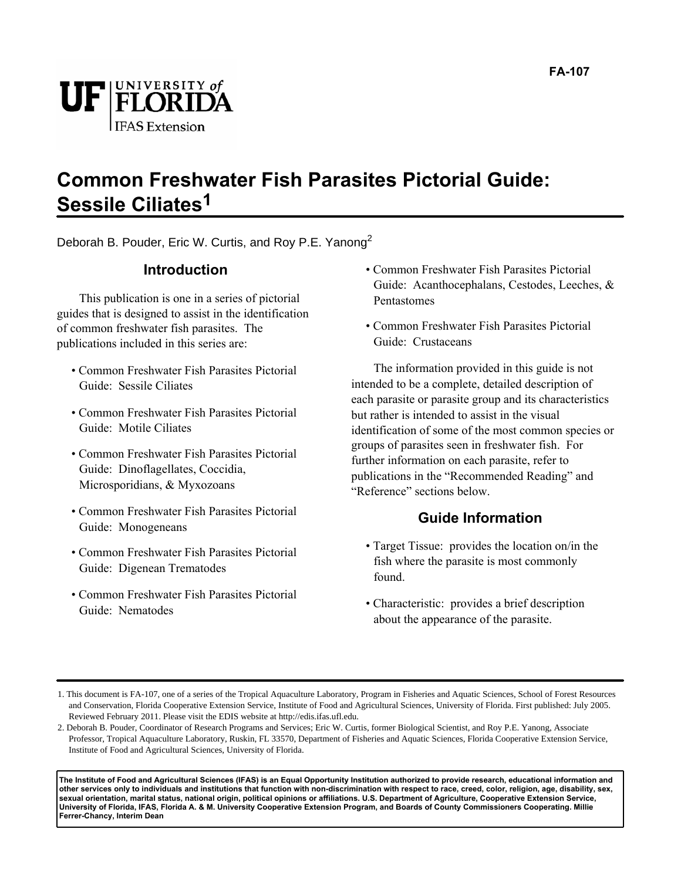

#### **Common Freshwater Fish Parasites Pictorial Guide: Sessile Ciliates1**

Deborah B. Pouder, Eric W. Curtis, and Roy P.E. Yanong<sup>2</sup>

#### **Introduction**

This publication is one in a series of pictorial guides that is designed to assist in the identification of common freshwater fish parasites. The publications included in this series are:

- Common Freshwater Fish Parasites Pictorial Guide: Sessile Ciliates
- Common Freshwater Fish Parasites Pictorial Guide: Motile Ciliates
- Common Freshwater Fish Parasites Pictorial Guide: Dinoflagellates, Coccidia, Microsporidians, & Myxozoans
- Common Freshwater Fish Parasites Pictorial Guide: Monogeneans
- Common Freshwater Fish Parasites Pictorial Guide: Digenean Trematodes
- Common Freshwater Fish Parasites Pictorial Guide: Nematodes
- Common Freshwater Fish Parasites Pictorial Guide: Acanthocephalans, Cestodes, Leeches, & Pentastomes
- Common Freshwater Fish Parasites Pictorial Guide: Crustaceans

The information provided in this guide is not intended to be a complete, detailed description of each parasite or parasite group and its characteristics but rather is intended to assist in the visual identification of some of the most common species or groups of parasites seen in freshwater fish. For further information on each parasite, refer to publications in the "Recommended Reading" and "Reference" sections below.

#### **Guide Information**

- Target Tissue: provides the location on/in the fish where the parasite is most commonly found.
- Characteristic: provides a brief description about the appearance of the parasite.

**The Institute of Food and Agricultural Sciences (IFAS) is an Equal Opportunity Institution authorized to provide research, educational information and other services only to individuals and institutions that function with non-discrimination with respect to race, creed, color, religion, age, disability, sex, sexual orientation, marital status, national origin, political opinions or affiliations. U.S. Department of Agriculture, Cooperative Extension Service, University of Florida, IFAS, Florida A. & M. University Cooperative Extension Program, and Boards of County Commissioners Cooperating. Millie Ferrer-Chancy, Interim Dean**

<sup>1.</sup> This document is FA-107, one of a series of the Tropical Aquaculture Laboratory, Program in Fisheries and Aquatic Sciences, School of Forest Resources and Conservation, Florida Cooperative Extension Service, Institute of Food and Agricultural Sciences, University of Florida. First published: July 2005. Reviewed February 2011. Please visit the EDIS website at http://edis.ifas.ufl.edu.

<sup>2.</sup> Deborah B. Pouder, Coordinator of Research Programs and Services; Eric W. Curtis, former Biological Scientist, and Roy P.E. Yanong, Associate Professor, Tropical Aquaculture Laboratory, Ruskin, FL 33570, Department of Fisheries and Aquatic Sciences, Florida Cooperative Extension Service, Institute of Food and Agricultural Sciences, University of Florida.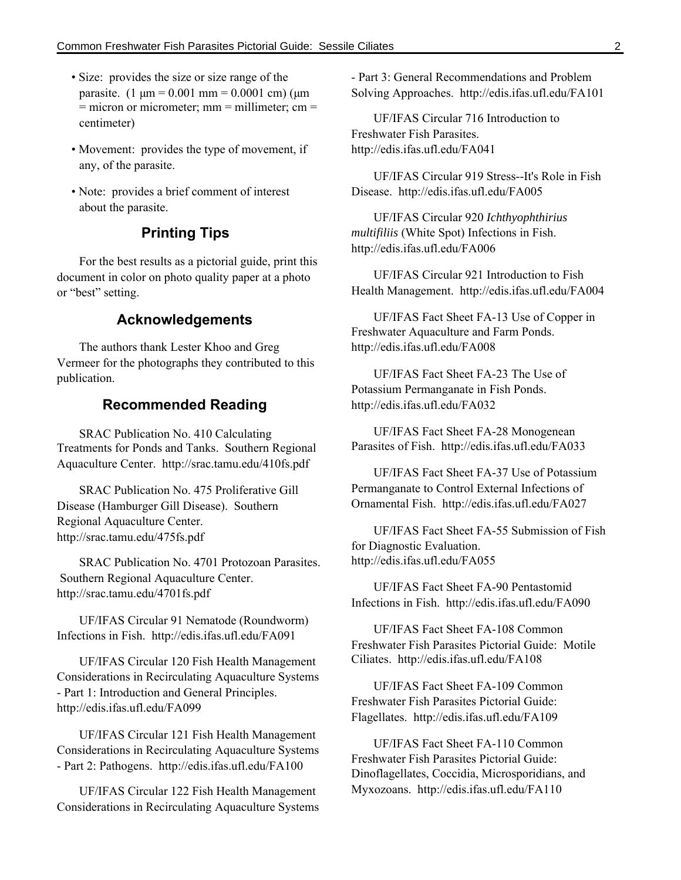- Size: provides the size or size range of the parasite.  $(1 \text{ µm} = 0.001 \text{ mm} = 0.0001 \text{ cm})$  ( $\text{µm}$ )  $=$  micron or micrometer; mm  $=$  millimeter; cm  $=$ centimeter)
- Movement: provides the type of movement, if any, of the parasite.
- Note: provides a brief comment of interest about the parasite.

#### **Printing Tips**

For the best results as a pictorial guide, print this document in color on photo quality paper at a photo or "best" setting.

#### **Acknowledgements**

The authors thank Lester Khoo and Greg Vermeer for the photographs they contributed to this publication.

#### **Recommended Reading**

SRAC Publication No. 410 Calculating Treatments for Ponds and Tanks. Southern Regional Aquaculture Center. http://srac.tamu.edu/410fs.pdf

SRAC Publication No. 475 Proliferative Gill Disease (Hamburger Gill Disease). Southern Regional Aquaculture Center. http://srac.tamu.edu/475fs.pdf

SRAC Publication No. 4701 Protozoan Parasites. Southern Regional Aquaculture Center. http://srac.tamu.edu/4701fs.pdf

UF/IFAS Circular 91 Nematode (Roundworm) Infections in Fish. http://edis.ifas.ufl.edu/FA091

UF/IFAS Circular 120 Fish Health Management Considerations in Recirculating Aquaculture Systems - Part 1: Introduction and General Principles. http://edis.ifas.ufl.edu/FA099

UF/IFAS Circular 121 Fish Health Management Considerations in Recirculating Aquaculture Systems - Part 2: Pathogens. http://edis.ifas.ufl.edu/FA100

UF/IFAS Circular 122 Fish Health Management Considerations in Recirculating Aquaculture Systems - Part 3: General Recommendations and Problem Solving Approaches. http://edis.ifas.ufl.edu/FA101

UF/IFAS Circular 716 Introduction to Freshwater Fish Parasites. http://edis.ifas.ufl.edu/FA041

UF/IFAS Circular 919 Stress--It's Role in Fish Disease. http://edis.ifas.ufl.edu/FA005

UF/IFAS Circular 920 *Ichthyophthirius multifiliis* (White Spot) Infections in Fish. http://edis.ifas.ufl.edu/FA006

UF/IFAS Circular 921 Introduction to Fish Health Management. http://edis.ifas.ufl.edu/FA004

UF/IFAS Fact Sheet FA-13 Use of Copper in Freshwater Aquaculture and Farm Ponds. http://edis.ifas.ufl.edu/FA008

UF/IFAS Fact Sheet FA-23 The Use of Potassium Permanganate in Fish Ponds. http://edis.ifas.ufl.edu/FA032

UF/IFAS Fact Sheet FA-28 Monogenean Parasites of Fish. http://edis.ifas.ufl.edu/FA033

UF/IFAS Fact Sheet FA-37 Use of Potassium Permanganate to Control External Infections of Ornamental Fish. http://edis.ifas.ufl.edu/FA027

UF/IFAS Fact Sheet FA-55 Submission of Fish for Diagnostic Evaluation. http://edis.ifas.ufl.edu/FA055

UF/IFAS Fact Sheet FA-90 Pentastomid Infections in Fish. http://edis.ifas.ufl.edu/FA090

UF/IFAS Fact Sheet FA-108 Common Freshwater Fish Parasites Pictorial Guide: Motile Ciliates. http://edis.ifas.ufl.edu/FA108

UF/IFAS Fact Sheet FA-109 Common Freshwater Fish Parasites Pictorial Guide: Flagellates. http://edis.ifas.ufl.edu/FA109

UF/IFAS Fact Sheet FA-110 Common Freshwater Fish Parasites Pictorial Guide: Dinoflagellates, Coccidia, Microsporidians, and Myxozoans. http://edis.ifas.ufl.edu/FA110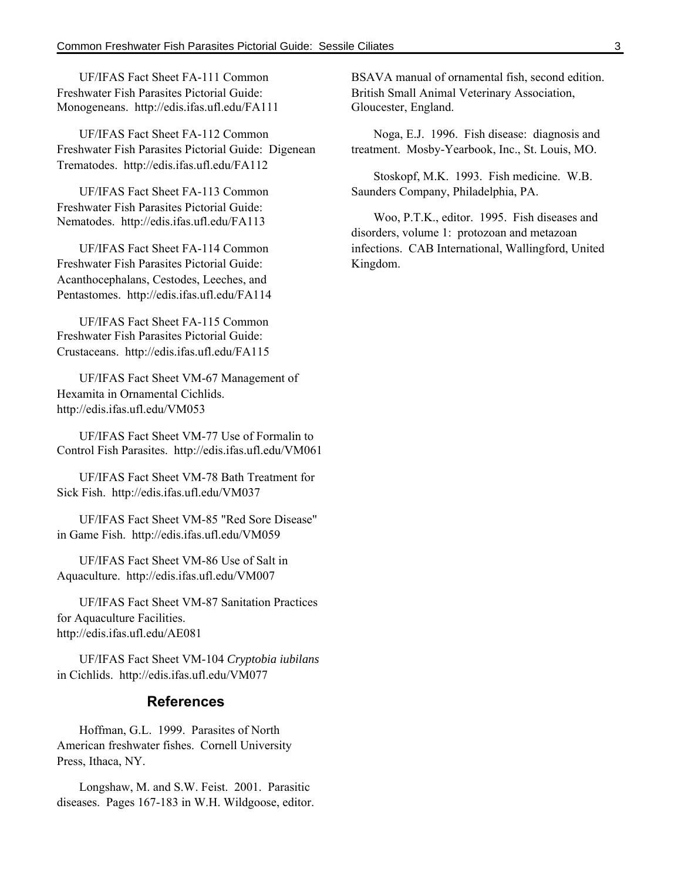UF/IFAS Fact Sheet FA-111 Common Freshwater Fish Parasites Pictorial Guide: Monogeneans. http://edis.ifas.ufl.edu/FA111

UF/IFAS Fact Sheet FA-112 Common Freshwater Fish Parasites Pictorial Guide: Digenean Trematodes. http://edis.ifas.ufl.edu/FA112

UF/IFAS Fact Sheet FA-113 Common Freshwater Fish Parasites Pictorial Guide: Nematodes. http://edis.ifas.ufl.edu/FA113

UF/IFAS Fact Sheet FA-114 Common Freshwater Fish Parasites Pictorial Guide: Acanthocephalans, Cestodes, Leeches, and Pentastomes. http://edis.ifas.ufl.edu/FA114

UF/IFAS Fact Sheet FA-115 Common Freshwater Fish Parasites Pictorial Guide: Crustaceans. http://edis.ifas.ufl.edu/FA115

UF/IFAS Fact Sheet VM-67 Management of Hexamita in Ornamental Cichlids. http://edis.ifas.ufl.edu/VM053

UF/IFAS Fact Sheet VM-77 Use of Formalin to Control Fish Parasites. http://edis.ifas.ufl.edu/VM061

UF/IFAS Fact Sheet VM-78 Bath Treatment for Sick Fish. http://edis.ifas.ufl.edu/VM037

UF/IFAS Fact Sheet VM-85 "Red Sore Disease" in Game Fish. http://edis.ifas.ufl.edu/VM059

UF/IFAS Fact Sheet VM-86 Use of Salt in Aquaculture. http://edis.ifas.ufl.edu/VM007

UF/IFAS Fact Sheet VM-87 Sanitation Practices for Aquaculture Facilities. http://edis.ifas.ufl.edu/AE081

UF/IFAS Fact Sheet VM-104 *Cryptobia iubilans* in Cichlids. http://edis.ifas.ufl.edu/VM077

#### **References**

Hoffman, G.L. 1999. Parasites of North American freshwater fishes. Cornell University Press, Ithaca, NY.

Longshaw, M. and S.W. Feist. 2001. Parasitic diseases. Pages 167-183 in W.H. Wildgoose, editor. BSAVA manual of ornamental fish, second edition. British Small Animal Veterinary Association, Gloucester, England.

Noga, E.J. 1996. Fish disease: diagnosis and treatment. Mosby-Yearbook, Inc., St. Louis, MO.

Stoskopf, M.K. 1993. Fish medicine. W.B. Saunders Company, Philadelphia, PA.

Woo, P.T.K., editor. 1995. Fish diseases and disorders, volume 1: protozoan and metazoan infections. CAB International, Wallingford, United Kingdom.